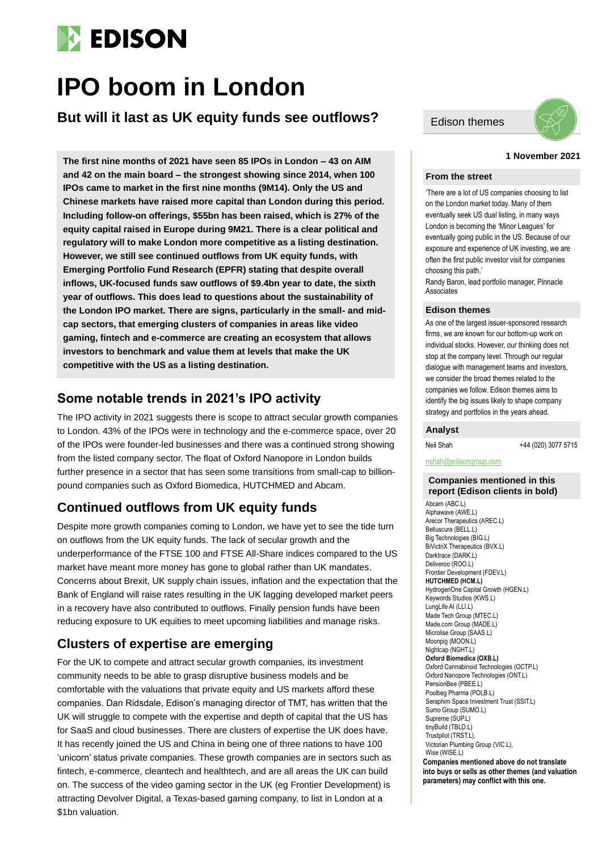

# **IPO boom in London**

**But will it last as UK equity funds see outflows?**

**The first nine months of 2021 have seen 85 IPOs in London – 43 on AIM and 42 on the main board – the strongest showing since 2014, when 100 IPOs came to market in the first nine months (9M14). Only the US and Chinese markets have raised more capital than London during this period. Including follow-on offerings, \$55bn has been raised, which is 27% of the equity capital raised in Europe during 9M21. There is a clear political and regulatory will to make London more competitive as a listing destination. However, we still see continued outflows from UK equity funds, with Emerging Portfolio Fund Research (EPFR) stating that despite overall inflows, UK-focused funds saw outflows of \$9.4bn year to date, the sixth year of outflows. This does lead to questions about the sustainability of the London IPO market. There are signs, particularly in the small- and midcap sectors, that emerging clusters of companies in areas like video gaming, fintech and e-commerce are creating an ecosystem that allows investors to benchmark and value them at levels that make the UK competitive with the US as a listing destination.**

### **Some notable trends in 2021's IPO activity**

The IPO activity in 2021 suggests there is scope to attract secular growth companies to London. 43% of the IPOs were in technology and the e-commerce space, over 20 of the IPOs were founder-led businesses and there was a continued strong showing from the listed company sector. The float of Oxford Nanopore in London builds further presence in a sector that has seen some transitions from small-cap to billionpound companies such as Oxford Biomedica, HUTCHMED and Abcam.

## **Continued outflows from UK equity funds**

Despite more growth companies coming to London, we have yet to see the tide turn on outflows from the UK equity funds. The lack of secular growth and the underperformance of the FTSE 100 and FTSE All-Share indices compared to the US market have meant more money has gone to global rather than UK mandates. Concerns about Brexit, UK supply chain issues, inflation and the expectation that the Bank of England will raise rates resulting in the UK lagging developed market peers in a recovery have also contributed to outflows. Finally pension funds have been reducing exposure to UK equities to meet upcoming liabilities and manage risks.

## **Clusters of expertise are emerging**

For the UK to compete and attract secular growth companies, its investment community needs to be able to grasp disruptive business models and be comfortable with the valuations that private equity and US markets afford these companies. Dan Ridsdale, Edison's managing director of TMT, has written that the UK will struggle to compete with the expertise and depth of capital that the US has for SaaS and cloud businesses. There are clusters of expertise the UK does have. It has recently joined the US and China in being one of three nations to have 100 'unicorn' status private companies. These growth companies are in sectors such as fintech, e-commerce, cleantech and healthtech, and are all areas the UK can build on. The success of the video gaming sector in the UK (eg Frontier Development) is attracting Devolver Digital, a Texas-based gaming company, to list in London at a \$1bn valuation.





### **1 November 2021**

#### **From the street**

'There are a lot of US companies choosing to list on the London market today. Many of them eventually seek US dual listing, in many ways London is becoming the 'Minor Leagues' for eventually going public in the US. Because of our exposure and experience of UK investing, we are often the first public investor visit for companies choosing this path.'

Randy Baron, lead portfolio manager, Pinnacle **Associates** 

### **Edison themes**

As one of the largest issuer-sponsored research firms, we are known for our bottom-up work on individual stocks. However, our thinking does not stop at the company level. Through our regular dialogue with management teams and investors, we consider the broad themes related to the companies we follow. Edison themes aims to identify the big issues likely to shape company strategy and portfolios in the years ahead.

### **Analyst**

Neil Shah +44 (020) 3077 5715

nshah@edisongroup.com

### **Companies mentioned in this report (Edison clients in bold)**

Abcam (ABC.L) Alphawave (AWE.L) Arecor Therapeutics (AREC.L) Belluscura (BELL.L) Big Technologies (BIG.L) BiVictriX Therapeutics (BVX.L) Darktrace (DARK.L) Deliveroo (ROO.L) Frontier Development (FDEV.L) **HUTCHMED (HCM.L)** HydrogenOne Capital Growth (HGEN.L) Keywords Studios (KWS.L) LungLife AI (LLI.L) Made Tech Group (MTEC.L) Made.com Group (MADE.L) Microlise Group (SAAS.L) Moonpig (MOON.L) Nightcap (NGHT.L) **Oxford Biomedica (OXB.L)** Oxford Cannabinoid Technologies (OCTP.L) Oxford Nanopore Technologies (ONT.L) PensionBee (PBEE.L) Poolbeg Pharma (POLB.L) Seraphim Space Investment Trust (SSIT.L) Sumo Group (SUMO.L) Supreme (SUPL) tinyBuild (TBLD.L) Trustpilot (TRST.L), Victorian Plumbing Group (VIC.L), Wise (WISE.L) **Companies mentioned above do not translate into buys or sells as other themes (and valuation** 

**parameters) may conflict with this one.**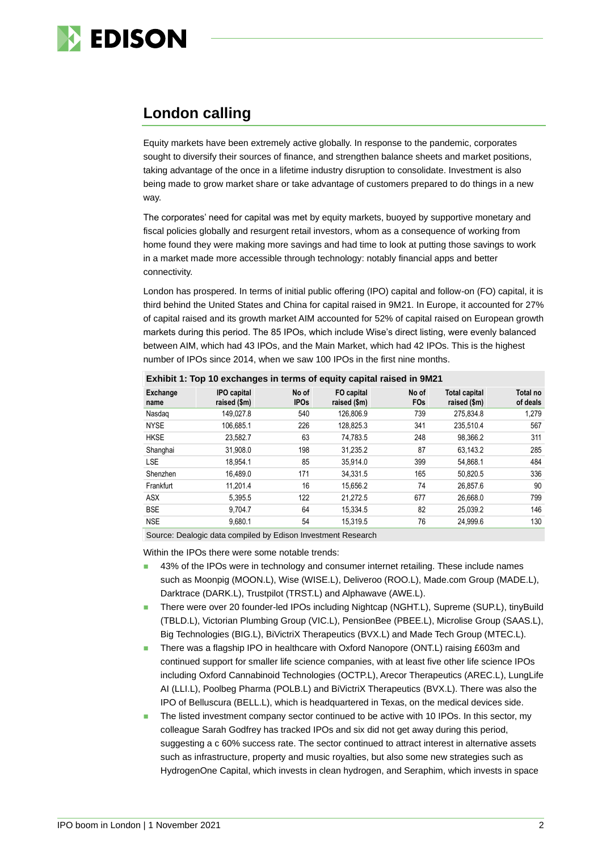

# **London calling**

Equity markets have been extremely active globally. In response to the pandemic, corporates sought to diversify their sources of finance, and strengthen balance sheets and market positions, taking advantage of the once in a lifetime industry disruption to consolidate. Investment is also being made to grow market share or take advantage of customers prepared to do things in a new way.

The corporates' need for capital was met by equity markets, buoyed by supportive monetary and fiscal policies globally and resurgent retail investors, whom as a consequence of working from home found they were making more savings and had time to look at putting those savings to work in a market made more accessible through technology: notably financial apps and better connectivity.

London has prospered. In terms of initial public offering (IPO) capital and follow-on (FO) capital, it is third behind the United States and China for capital raised in 9M21. In Europe, it accounted for 27% of capital raised and its growth market AIM accounted for 52% of capital raised on European growth markets during this period. The 85 IPOs, which include Wise's direct listing, were evenly balanced between AIM, which had 43 IPOs, and the Main Market, which had 42 IPOs. This is the highest number of IPOs since 2014, when we saw 100 IPOs in the first nine months.

| LAINDIL 1. TOP TO EXCHANGES IN LENNS OF EQUILY CAPILAL LAISED IN SIME I |                                    |                      |                            |                          |                               |                      |  |
|-------------------------------------------------------------------------|------------------------------------|----------------------|----------------------------|--------------------------|-------------------------------|----------------------|--|
| Exchange<br>name                                                        | <b>IPO capital</b><br>raised (\$m) | No of<br><b>IPOs</b> | FO capital<br>raised (\$m) | No of<br>FO <sub>s</sub> | Total capital<br>raised (\$m) | Total no<br>of deals |  |
| Nasdag                                                                  | 149,027.8                          | 540                  | 126.806.9                  | 739                      | 275,834.8                     | 1,279                |  |
| <b>NYSE</b>                                                             | 106.685.1                          | 226                  | 128.825.3                  | 341                      | 235.510.4                     | 567                  |  |
| <b>HKSE</b>                                                             | 23,582.7                           | 63                   | 74,783.5                   | 248                      | 98.366.2                      | 311                  |  |
| Shanghai                                                                | 31,908.0                           | 198                  | 31,235.2                   | 87                       | 63.143.2                      | 285                  |  |
| <b>LSE</b>                                                              | 18,954.1                           | 85                   | 35.914.0                   | 399                      | 54,868.1                      | 484                  |  |
| Shenzhen                                                                | 16,489.0                           | 171                  | 34.331.5                   | 165                      | 50,820.5                      | 336                  |  |
| Frankfurt                                                               | 11,201.4                           | 16                   | 15,656.2                   | 74                       | 26,857.6                      | 90                   |  |
| <b>ASX</b>                                                              | 5.395.5                            | 122                  | 21.272.5                   | 677                      | 26.668.0                      | 799                  |  |
| <b>BSE</b>                                                              | 9.704.7                            | 64                   | 15.334.5                   | 82                       | 25.039.2                      | 146                  |  |
| <b>NSE</b>                                                              | 9.680.1                            | 54                   | 15.319.5                   | 76                       | 24.999.6                      | 130                  |  |

### **Exhibit 1: Top 10 exchanges in terms of equity capital raised in 9M21**

Source: Dealogic data compiled by Edison Investment Research

Within the IPOs there were some notable trends:

- 43% of the IPOs were in technology and consumer internet retailing. These include names such as Moonpig (MOON.L), Wise (WISE.L), Deliveroo (ROO.L), Made.com Group (MADE.L), Darktrace (DARK.L), Trustpilot (TRST.L) and Alphawave (AWE.L).
- There were over 20 founder-led IPOs including Nightcap (NGHT.L), Supreme (SUP.L), tinyBuild (TBLD.L), Victorian Plumbing Group (VIC.L), PensionBee (PBEE.L), Microlise Group (SAAS.L), Big Technologies (BIG.L), BiVictriX Therapeutics (BVX.L) and Made Tech Group (MTEC.L).
- There was a flagship IPO in healthcare with Oxford Nanopore (ONT.L) raising £603m and continued support for smaller life science companies, with at least five other life science IPOs including Oxford Cannabinoid Technologies (OCTP.L), Arecor Therapeutics (AREC.L), LungLife AI (LLI.L), Poolbeg Pharma (POLB.L) and BiVictriX Therapeutics (BVX.L). There was also the IPO of Belluscura (BELL.L), which is headquartered in Texas, on the medical devices side.
- The listed investment company sector continued to be active with 10 IPOs. In this sector, my colleague Sarah Godfrey has tracked IPOs and six did not get away during this period, suggesting a c 60% success rate. The sector continued to attract interest in alternative assets such as infrastructure, property and music royalties, but also some new strategies such as HydrogenOne Capital, which invests in clean hydrogen, and Seraphim, which invests in space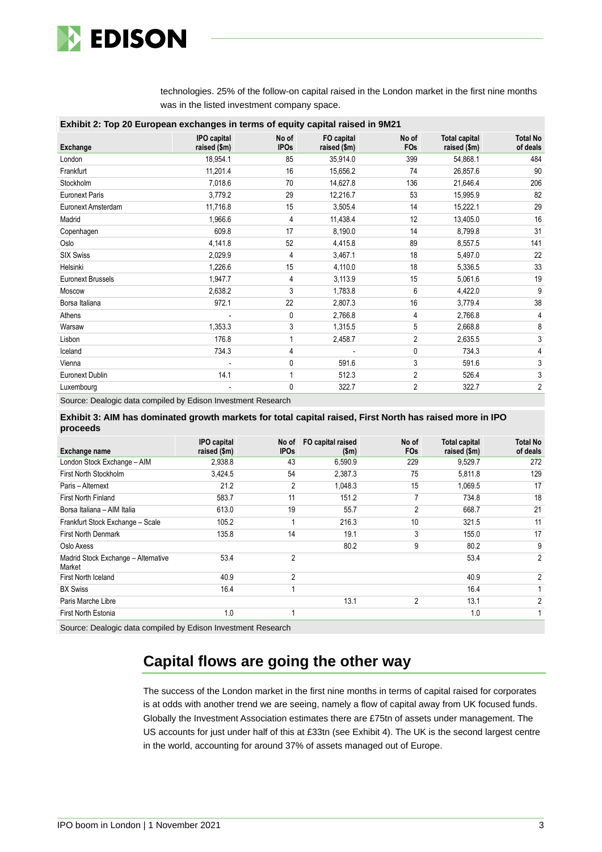

technologies. 25% of the follow-on capital raised in the London market in the first nine months was in the listed investment company space.

| Exhibit 2: Top 20 European exchanges in terms of equity capital raised in 9M21 |                                    |                      |                            |                          |                                      |                             |  |
|--------------------------------------------------------------------------------|------------------------------------|----------------------|----------------------------|--------------------------|--------------------------------------|-----------------------------|--|
| Exchange                                                                       | <b>IPO</b> capital<br>raised (\$m) | No of<br><b>IPOs</b> | FO capital<br>raised (\$m) | No of<br>F <sub>Os</sub> | <b>Total capital</b><br>raised (\$m) | <b>Total No</b><br>of deals |  |
| London                                                                         | 18,954.1                           | 85                   | 35,914.0                   | 399                      | 54,868.1                             | 484                         |  |
| Frankfurt                                                                      | 11,201.4                           | 16                   | 15,656.2                   | 74                       | 26,857.6                             | 90                          |  |
| Stockholm                                                                      | 7,018.6                            | 70                   | 14,627.8                   | 136                      | 21,646.4                             | 206                         |  |
| <b>Euronext Paris</b>                                                          | 3,779.2                            | 29                   | 12,216.7                   | 53                       | 15,995.9                             | 82                          |  |
| Euronext Amsterdam                                                             | 11,716.8                           | 15                   | 3,505.4                    | 14                       | 15,222.1                             | 29                          |  |
| Madrid                                                                         | 1,966.6                            | 4                    | 11,438.4                   | 12                       | 13,405.0                             | 16                          |  |
| Copenhagen                                                                     | 609.8                              | 17                   | 8,190.0                    | 14                       | 8,799.8                              | 31                          |  |
| Oslo                                                                           | 4,141.8                            | 52                   | 4,415.8                    | 89                       | 8,557.5                              | 141                         |  |
| <b>SIX Swiss</b>                                                               | 2,029.9                            | 4                    | 3,467.1                    | 18                       | 5,497.0                              | 22                          |  |
| Helsinki                                                                       | 1,226.6                            | 15                   | 4,110.0                    | 18                       | 5,336.5                              | 33                          |  |
| <b>Euronext Brussels</b>                                                       | 1,947.7                            | 4                    | 3,113.9                    | 15                       | 5,061.6                              | 19                          |  |
| Moscow                                                                         | 2,638.2                            | 3                    | 1,783.8                    | 6                        | 4,422.0                              | 9                           |  |
| Borsa Italiana                                                                 | 972.1                              | 22                   | 2,807.3                    | 16                       | 3,779.4                              | 38                          |  |
| Athens                                                                         |                                    | 0                    | 2,766.8                    | 4                        | 2,766.8                              | 4                           |  |
| Warsaw                                                                         | 1,353.3                            | 3                    | 1,315.5                    | 5                        | 2,668.8                              | 8                           |  |
| Lisbon                                                                         | 176.8                              |                      | 2,458.7                    | $\overline{c}$           | 2,635.5                              | 3                           |  |
| Iceland                                                                        | 734.3                              | 4                    |                            | 0                        | 734.3                                | 4                           |  |
| Vienna                                                                         |                                    | 0                    | 591.6                      | 3                        | 591.6                                | 3                           |  |
| Euronext Dublin                                                                | 14.1                               |                      | 512.3                      | $\overline{2}$           | 526.4                                | 3                           |  |
| Luxembourg                                                                     |                                    | 0                    | 322.7                      | $\overline{c}$           | 322.7                                | $\overline{2}$              |  |

Source: Dealogic data compiled by Edison Investment Research

**Exhibit 3: AIM has dominated growth markets for total capital raised, First North has raised more in IPO proceeds**

| Exchange name                                 | <b>IPO</b> capital<br>raised (\$m) | No of<br><b>IPOs</b> | FO capital raised<br>\$m\$ | No of<br>FO <sub>s</sub> | <b>Total capital</b><br>raised (\$m) | Total No<br>of deals |
|-----------------------------------------------|------------------------------------|----------------------|----------------------------|--------------------------|--------------------------------------|----------------------|
| London Stock Exchange - AIM                   | 2,938.8                            | 43                   | 6,590.9                    | 229                      | 9,529.7                              | 272                  |
| First North Stockholm                         | 3,424.5                            | 54                   | 2,387.3                    | 75                       | 5,811.8                              | 129                  |
| Paris - Alternext                             | 21.2                               | $\overline{2}$       | 1,048.3                    | 15                       | 1,069.5                              | 17                   |
| <b>First North Finland</b>                    | 583.7                              | 11                   | 151.2                      |                          | 734.8                                | 18                   |
| Borsa Italiana - AIM Italia                   | 613.0                              | 19                   | 55.7                       | $\overline{2}$           | 668.7                                | 21                   |
| Frankfurt Stock Exchange - Scale              | 105.2                              |                      | 216.3                      | 10                       | 321.5                                | 11                   |
| <b>First North Denmark</b>                    | 135.8                              | 14                   | 19.1                       | 3                        | 155.0                                | 17                   |
| Oslo Axess                                    |                                    |                      | 80.2                       | 9                        | 80.2                                 | 9                    |
| Madrid Stock Exchange - Alternative<br>Market | 53.4                               | 2                    |                            |                          | 53.4                                 | $\overline{2}$       |
| First North Iceland                           | 40.9                               | 2                    |                            |                          | 40.9                                 | 2                    |
| <b>BX Swiss</b>                               | 16.4                               |                      |                            |                          | 16.4                                 | 1                    |
| Paris Marche Libre                            |                                    |                      | 13.1                       | $\overline{2}$           | 13.1                                 | $\overline{2}$       |
| First North Estonia                           | 1.0                                |                      |                            |                          | 1.0                                  |                      |

Source: Dealogic data compiled by Edison Investment Research

# **Capital flows are going the other way**

The success of the London market in the first nine months in terms of capital raised for corporates is at odds with another trend we are seeing, namely a flow of capital away from UK focused funds. Globally the Investment Association estimates there are £75tn of assets under management. The US accounts for just under half of this at £33tn (see Exhibit 4). The UK is the second largest centre in the world, accounting for around 37% of assets managed out of Europe.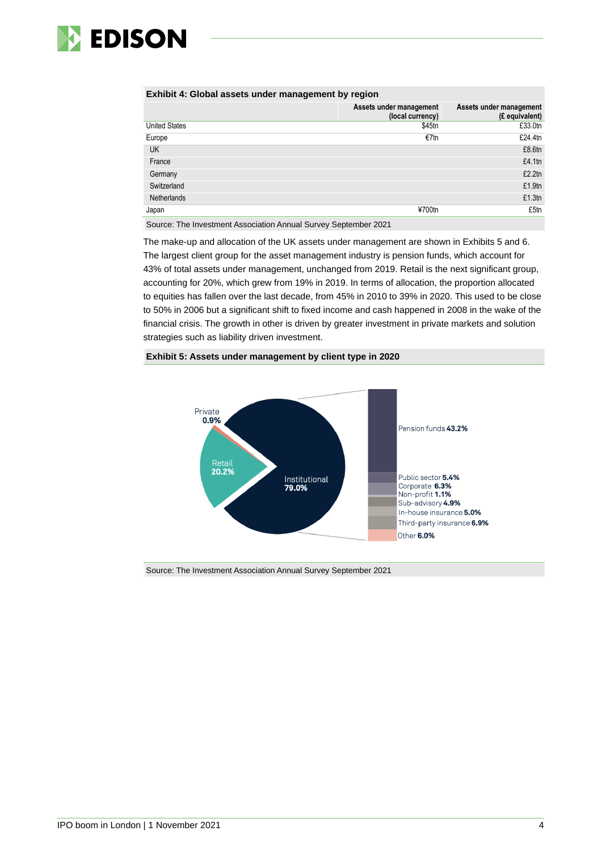

### **Exhibit 4: Global assets under management by region**

|                      | Assets under management<br>(local currency) | Assets under management<br>(£ equivalent) |
|----------------------|---------------------------------------------|-------------------------------------------|
| <b>United States</b> | \$45tn                                      | £33.0tn                                   |
| Europe               | €7tn                                        | £24.4tn                                   |
| <b>UK</b>            |                                             | £8.6tn                                    |
| France               |                                             | £4.1tn                                    |
| Germany              |                                             | £2.2tn                                    |
| Switzerland          |                                             | £1.9tn                                    |
| <b>Netherlands</b>   |                                             | £1.3tn                                    |
| Japan                | ¥700tn                                      | £5tn                                      |

Source: The Investment Association Annual Survey September 2021

The make-up and allocation of the UK assets under management are shown in Exhibits 5 and 6. The largest client group for the asset management industry is pension funds, which account for 43% of total assets under management, unchanged from 2019. Retail is the next significant group, accounting for 20%, which grew from 19% in 2019. In terms of allocation, the proportion allocated to equities has fallen over the last decade, from 45% in 2010 to 39% in 2020. This used to be close to 50% in 2006 but a significant shift to fixed income and cash happened in 2008 in the wake of the financial crisis. The growth in other is driven by greater investment in private markets and solution strategies such as liability driven investment.

### **Exhibit 5: Assets under management by client type in 2020**



Source: The Investment Association Annual Survey September 2021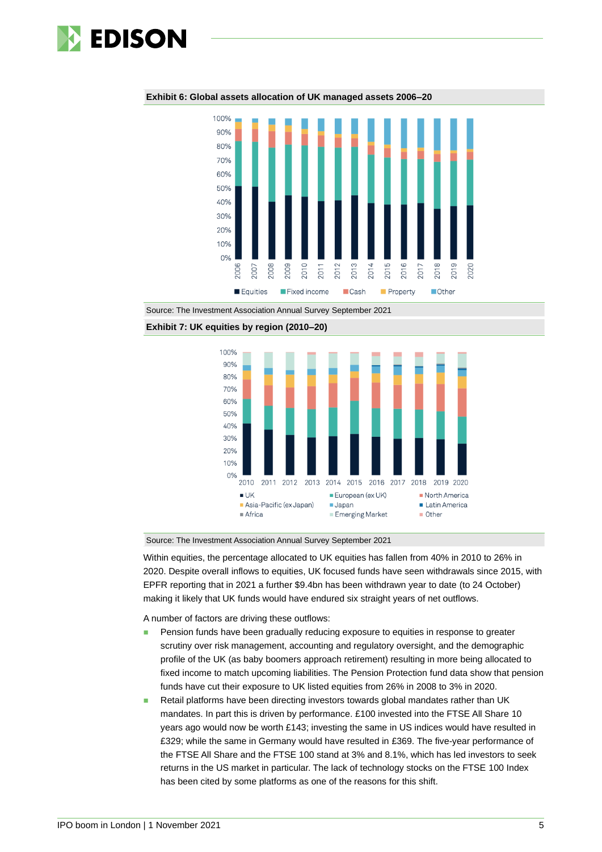

100%  $90%$ 80% 70% 60% 50% 40% 30% 20% 10%  $0%$ 2006  $2008$ 2009  $2010$ 2007 2020  $2011$  $201$ 201  $201$  $\overline{5}$  $\sum$  $201$  $201$  $201$ Equities Fixed income **Cash Property Other** 

**Exhibit 6: Global assets allocation of UK managed assets 2006–20**

Source: The Investment Association Annual Survey September 2021





Source: The Investment Association Annual Survey September 2021

Within equities, the percentage allocated to UK equities has fallen from 40% in 2010 to 26% in 2020. Despite overall inflows to equities, UK focused funds have seen withdrawals since 2015, with EPFR reporting that in 2021 a further \$9.4bn has been withdrawn year to date (to 24 October) making it likely that UK funds would have endured six straight years of net outflows.

A number of factors are driving these outflows:

- Pension funds have been gradually reducing exposure to equities in response to greater scrutiny over risk management, accounting and regulatory oversight, and the demographic profile of the UK (as baby boomers approach retirement) resulting in more being allocated to fixed income to match upcoming liabilities. The Pension Protection fund data show that pension funds have cut their exposure to UK listed equities from 26% in 2008 to 3% in 2020.
- Retail platforms have been directing investors towards global mandates rather than UK mandates. In part this is driven by performance. £100 invested into the FTSE All Share 10 years ago would now be worth £143; investing the same in US indices would have resulted in £329; while the same in Germany would have resulted in £369. The five-year performance of the FTSE All Share and the FTSE 100 stand at 3% and 8.1%, which has led investors to seek returns in the US market in particular. The lack of technology stocks on the FTSE 100 Index has been cited by some platforms as one of the reasons for this shift.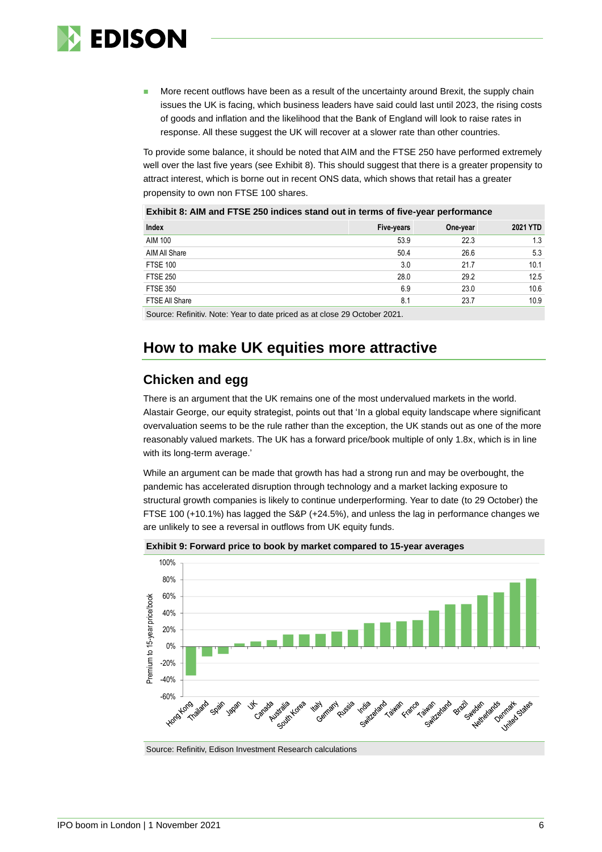

More recent outflows have been as a result of the uncertainty around Brexit, the supply chain issues the UK is facing, which business leaders have said could last until 2023, the rising costs of goods and inflation and the likelihood that the Bank of England will look to raise rates in response. All these suggest the UK will recover at a slower rate than other countries.

To provide some balance, it should be noted that AIM and the FTSE 250 have performed extremely well over the last five years (see Exhibit 8). This should suggest that there is a greater propensity to attract interest, which is borne out in recent ONS data, which shows that retail has a greater propensity to own non FTSE 100 shares.

| Exhibit 8: AIM and FTSE 250 indices stand out in terms of five-year performance |            |          |          |  |  |
|---------------------------------------------------------------------------------|------------|----------|----------|--|--|
| Index                                                                           | Five-years | One-year | 2021 YTD |  |  |
| <b>AIM 100</b>                                                                  | 53.9       | 22.3     | 1.3      |  |  |
| AIM All Share                                                                   | 50.4       | 26.6     | 5.3      |  |  |
| <b>FTSE 100</b>                                                                 | 3.0        | 21.7     | 10.1     |  |  |
| <b>FTSE 250</b>                                                                 | 28.0       | 29.2     | 12.5     |  |  |
| <b>FTSE 350</b>                                                                 | 6.9        | 23.0     | 10.6     |  |  |
| FTSE All Share                                                                  | 8.1        | 23.7     | 10.9     |  |  |
|                                                                                 |            |          |          |  |  |

Source: Refinitiv. Note: Year to date priced as at close 29 October 2021.

# **How to make UK equities more attractive**

### **Chicken and egg**

There is an argument that the UK remains one of the most undervalued markets in the world. Alastair George, our equity strategist, points out that 'In a global equity landscape where significant overvaluation seems to be the rule rather than the exception, the UK stands out as one of the more reasonably valued markets. The UK has a forward price/book multiple of only 1.8x, which is in line with its long-term average.'

While an argument can be made that growth has had a strong run and may be overbought, the pandemic has accelerated disruption through technology and a market lacking exposure to structural growth companies is likely to continue underperforming. Year to date (to 29 October) the FTSE 100 (+10.1%) has lagged the S&P (+24.5%), and unless the lag in performance changes we are unlikely to see a reversal in outflows from UK equity funds.



**Exhibit 9: Forward price to book by market compared to 15-year averages**

Source: Refinitiv, Edison Investment Research calculations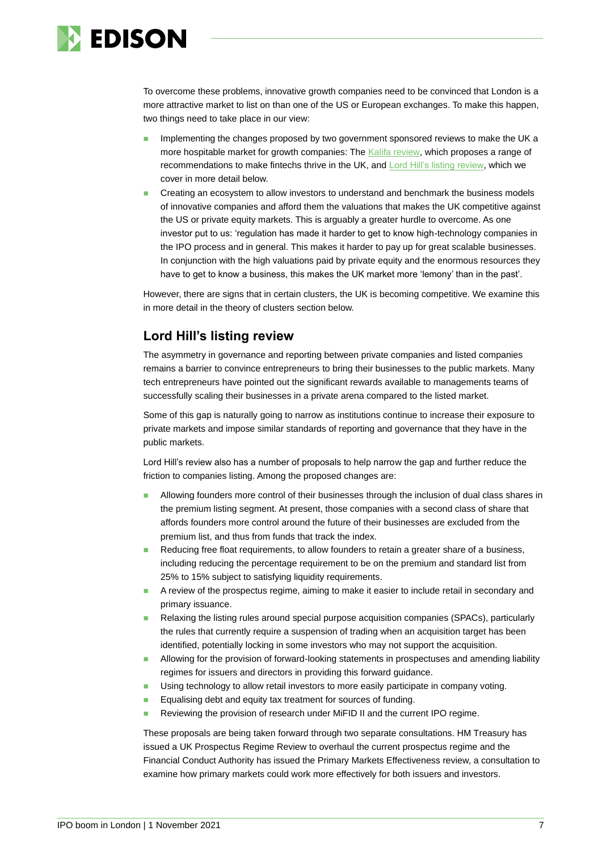

To overcome these problems, innovative growth companies need to be convinced that London is a more attractive market to list on than one of the US or European exchanges. To make this happen, two things need to take place in our view:

- Implementing the changes proposed by two government sponsored reviews to make the UK a more hospitable market for growth companies: The [Kalifa review,](https://assets.publishing.service.gov.uk/government/uploads/system/uploads/attachment_data/file/978396/KalifaReviewofUKFintech01.pdf) which proposes a range of recommendations to make fintechs thrive in the UK, and [Lord Hill's listing review,](https://assets.publishing.service.gov.uk/government/uploads/system/uploads/attachment_data/file/966133/UK_Listing_Review_3_March.pdf) which we cover in more detail below.
- ◼ Creating an ecosystem to allow investors to understand and benchmark the business models of innovative companies and afford them the valuations that makes the UK competitive against the US or private equity markets. This is arguably a greater hurdle to overcome. As one investor put to us: 'regulation has made it harder to get to know high-technology companies in the IPO process and in general. This makes it harder to pay up for great scalable businesses. In conjunction with the high valuations paid by private equity and the enormous resources they have to get to know a business, this makes the UK market more 'lemony' than in the past'.

However, there are signs that in certain clusters, the UK is becoming competitive. We examine this in more detail in the theory of clusters section below.

### **Lord Hill's listing review**

The asymmetry in governance and reporting between private companies and listed companies remains a barrier to convince entrepreneurs to bring their businesses to the public markets. Many tech entrepreneurs have pointed out the significant rewards available to managements teams of successfully scaling their businesses in a private arena compared to the listed market.

Some of this gap is naturally going to narrow as institutions continue to increase their exposure to private markets and impose similar standards of reporting and governance that they have in the public markets.

Lord Hill's review also has a number of proposals to help narrow the gap and further reduce the friction to companies listing. Among the proposed changes are:

- ◼ Allowing founders more control of their businesses through the inclusion of dual class shares in the premium listing segment. At present, those companies with a second class of share that affords founders more control around the future of their businesses are excluded from the premium list, and thus from funds that track the index.
- Reducing free float requirements, to allow founders to retain a greater share of a business, including reducing the percentage requirement to be on the premium and standard list from 25% to 15% subject to satisfying liquidity requirements.
- A review of the prospectus regime, aiming to make it easier to include retail in secondary and primary issuance.
- Relaxing the listing rules around special purpose acquisition companies (SPACs), particularly the rules that currently require a suspension of trading when an acquisition target has been identified, potentially locking in some investors who may not support the acquisition.
- Allowing for the provision of forward-looking statements in prospectuses and amending liability regimes for issuers and directors in providing this forward guidance.
- Using technology to allow retail investors to more easily participate in company voting.
- Equalising debt and equity tax treatment for sources of funding.
- Reviewing the provision of research under MiFID II and the current IPO regime.

These proposals are being taken forward through two separate consultations. HM Treasury has issued a UK Prospectus Regime Review to overhaul the current prospectus regime and the Financial Conduct Authority has issued the Primary Markets Effectiveness review, a consultation to examine how primary markets could work more effectively for both issuers and investors.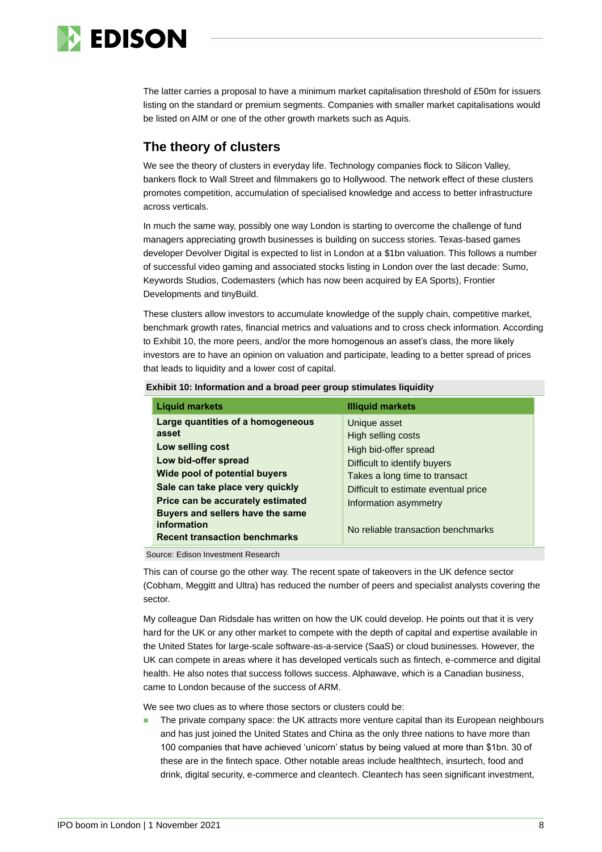

The latter carries a proposal to have a minimum market capitalisation threshold of £50m for issuers listing on the standard or premium segments. Companies with smaller market capitalisations would be listed on AIM or one of the other growth markets such as Aquis.

# **The theory of clusters**

We see the theory of clusters in everyday life. Technology companies flock to Silicon Valley, bankers flock to Wall Street and filmmakers go to Hollywood. The network effect of these clusters promotes competition, accumulation of specialised knowledge and access to better infrastructure across verticals.

In much the same way, possibly one way London is starting to overcome the challenge of fund managers appreciating growth businesses is building on success stories. Texas-based games developer Devolver Digital is expected to list in London at a \$1bn valuation. This follows a number of successful video gaming and associated stocks listing in London over the last decade: Sumo, Keywords Studios, Codemasters (which has now been acquired by EA Sports), Frontier Developments and tinyBuild.

These clusters allow investors to accumulate knowledge of the supply chain, competitive market, benchmark growth rates, financial metrics and valuations and to cross check information. According to Exhibit 10, the more peers, and/or the more homogenous an asset's class, the more likely investors are to have an opinion on valuation and participate, leading to a better spread of prices that leads to liquidity and a lower cost of capital.

| <b>Liquid markets</b>                                                                                                                                                                                                                                                                       | <b>Illiquid markets</b>                                                                                                                                                                                                             |
|---------------------------------------------------------------------------------------------------------------------------------------------------------------------------------------------------------------------------------------------------------------------------------------------|-------------------------------------------------------------------------------------------------------------------------------------------------------------------------------------------------------------------------------------|
| Large quantities of a homogeneous<br>asset<br>Low selling cost<br>Low bid-offer spread<br>Wide pool of potential buyers<br>Sale can take place very quickly<br>Price can be accurately estimated<br>Buyers and sellers have the same<br>information<br><b>Recent transaction benchmarks</b> | Unique asset<br>High selling costs<br>High bid-offer spread<br>Difficult to identify buyers<br>Takes a long time to transact<br>Difficult to estimate eventual price<br>Information asymmetry<br>No reliable transaction benchmarks |

**Exhibit 10: Information and a broad peer group stimulates liquidity**

Source: Edison Investment Research

This can of course go the other way. The recent spate of takeovers in the UK defence sector (Cobham, Meggitt and Ultra) has reduced the number of peers and specialist analysts covering the sector.

My colleague Dan Ridsdale has written on how the UK could develop. He points out that it is very hard for the UK or any other market to compete with the depth of capital and expertise available in the United States for large-scale software-as-a-service (SaaS) or cloud businesses. However, the UK can compete in areas where it has developed verticals such as fintech, e-commerce and digital health. He also notes that success follows success. Alphawave, which is a Canadian business, came to London because of the success of ARM.

We see two clues as to where those sectors or clusters could be:

The private company space: the UK attracts more venture capital than its European neighbours and has just joined the United States and China as the only three nations to have more than 100 companies that have achieved 'unicorn' status by being valued at more than \$1bn. 30 of these are in the fintech space. Other notable areas include healthtech, insurtech, food and drink, digital security, e-commerce and cleantech. Cleantech has seen significant investment,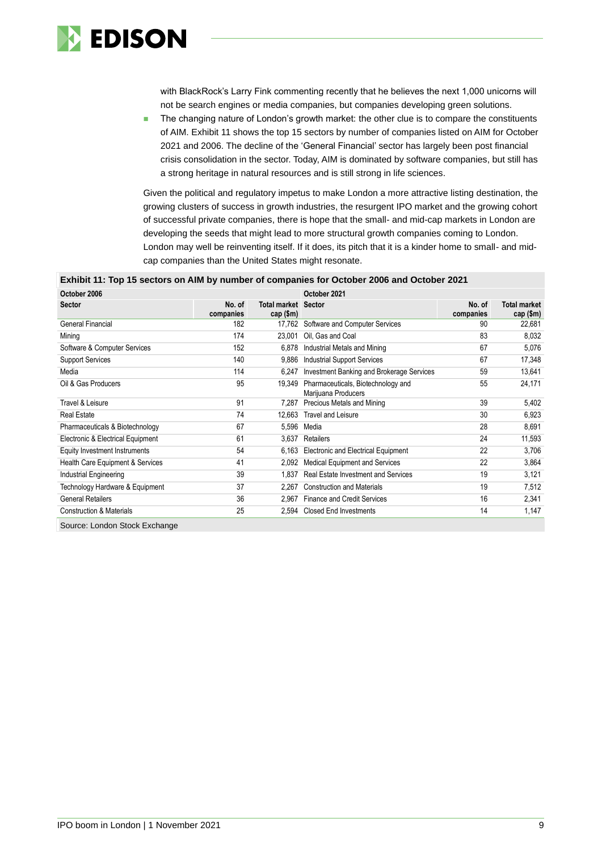

with BlackRock's Larry Fink commenting recently that he believes the next 1,000 unicorns will not be search engines or media companies, but companies developing green solutions.

The changing nature of London's growth market: the other clue is to compare the constituents of AIM. Exhibit 11 shows the top 15 sectors by number of companies listed on AIM for October 2021 and 2006. The decline of the 'General Financial' sector has largely been post financial crisis consolidation in the sector. Today, AIM is dominated by software companies, but still has a strong heritage in natural resources and is still strong in life sciences.

Given the political and regulatory impetus to make London a more attractive listing destination, the growing clusters of success in growth industries, the resurgent IPO market and the growing cohort of successful private companies, there is hope that the small- and mid-cap markets in London are developing the seeds that might lead to more structural growth companies coming to London. London may well be reinventing itself. If it does, its pitch that it is a kinder home to small- and midcap companies than the United States might resonate.

#### **Exhibit 11: Top 15 sectors on AIM by number of companies for October 2006 and October 2021**

| October 2006                        |                     |                                           | October 2021                                              |                     |                                    |
|-------------------------------------|---------------------|-------------------------------------------|-----------------------------------------------------------|---------------------|------------------------------------|
| <b>Sector</b>                       | No. of<br>companies | <b>Total market Sector</b><br>cap $(\$m)$ |                                                           | No. of<br>companies | <b>Total market</b><br>cap $(\$m)$ |
| General Financial                   | 182                 | 17.762                                    | Software and Computer Services                            | 90                  | 22,681                             |
| Mining                              | 174                 | 23,001                                    | Oil, Gas and Coal                                         | 83                  | 8,032                              |
| Software & Computer Services        | 152                 | 6,878                                     | Industrial Metals and Mining                              | 67                  | 5,076                              |
| <b>Support Services</b>             | 140                 | 9,886                                     | <b>Industrial Support Services</b>                        | 67                  | 17,348                             |
| Media                               | 114                 | 6,247                                     | Investment Banking and Brokerage Services                 | 59                  | 13,641                             |
| Oil & Gas Producers                 | 95                  | 19.349                                    | Pharmaceuticals, Biotechnology and<br>Marijuana Producers | 55                  | 24,171                             |
| Travel & Leisure                    | 91                  | 7.287                                     | Precious Metals and Mining                                | 39                  | 5,402                              |
| <b>Real Estate</b>                  | 74                  | 12.663                                    | <b>Travel and Leisure</b>                                 | 30                  | 6,923                              |
| Pharmaceuticals & Biotechnology     | 67                  | 5.596                                     | Media                                                     | 28                  | 8,691                              |
| Electronic & Electrical Equipment   | 61                  | 3,637                                     | Retailers                                                 | 24                  | 11,593                             |
| Equity Investment Instruments       | 54                  | 6,163                                     | <b>Electronic and Electrical Equipment</b>                | 22                  | 3,706                              |
| Health Care Equipment & Services    | 41                  | 2,092                                     | <b>Medical Equipment and Services</b>                     | 22                  | 3,864                              |
| Industrial Engineering              | 39                  | 1.837                                     | Real Estate Investment and Services                       | 19                  | 3,121                              |
| Technology Hardware & Equipment     | 37                  | 2.267                                     | <b>Construction and Materials</b>                         | 19                  | 7,512                              |
| <b>General Retailers</b>            | 36                  | 2,967                                     | <b>Finance and Credit Services</b>                        | 16                  | 2,341                              |
| <b>Construction &amp; Materials</b> | 25                  | 2,594                                     | <b>Closed End Investments</b>                             | 14                  | 1,147                              |

Source: London Stock Exchange